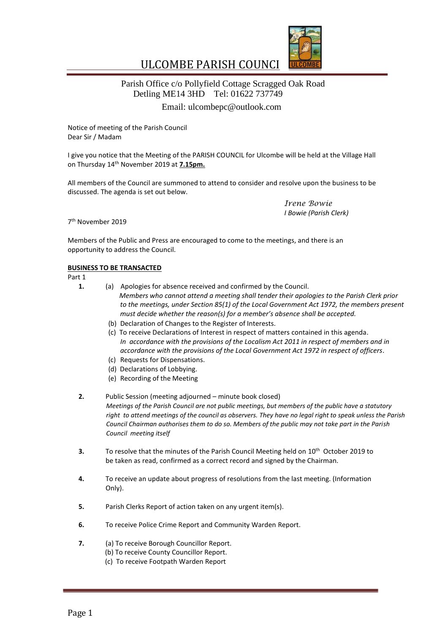

#### ULCOMBE PARISH COUNCI  $\mathbb{R}^2$

# Parish Office c/o Pollyfield Cottage Scragged Oak Road Detling ME14 3HD Tel: 01622 737749 Email: [ulcombepc@outlook.com](mailto:ulcombepc@outlook.com)

Notice of meeting of the Parish Council Dear Sir / Madam

I give you notice that the Meeting of the PARISH COUNCIL for Ulcombe will be held at the Village Hall on Thursday 14 th November 2019 at **7.15pm.**

All members of the Council are summoned to attend to consider and resolve upon the business to be discussed. The agenda is set out below.

> *Irene Bowie I Bowie (Parish Clerk)*

7 th November 2019

Members of the Public and Press are encouraged to come to the meetings, and there is an opportunity to address the Council.

## **BUSINESS TO BE TRANSACTED**

Part 1

- **1.** (a) Apologies for absence received and confirmed by the Council. *Members who cannot attend a meeting shall tender their apologies to the Parish Clerk prior to the meetings, under Section 85(1) of the Local Government Act 1972, the members present must decide whether the reason(s) for a member's absence shall be accepted.*
	- (b) Declaration of Changes to the Register of Interests.
	- (c) To receive Declarations of Interest in respect of matters contained in this agenda. *In accordance with the provisions of the Localism Act 2011 in respect of members and in accordance with the provisions of the Local Government Act 1972 in respect of officers.*
	- (c) Requests for Dispensations.
	- (d) Declarations of Lobbying.
	- (e) Recording of the Meeting
- **2.** Public Session (meeting adjourned minute book closed) *Meetings of the Parish Council are not public meetings, but members of the public have a statutory right to attend meetings of the council as observers. They have no legal right to speak unless the Parish Council Chairman authorises them to do so. Members of the public may not take part in the Parish Council meeting itself*
- **3.** To resolve that the minutes of the Parish Council Meeting held on 10th October 2019 to be taken as read, confirmed as a correct record and signed by the Chairman.
- **4.** To receive an update about progress of resolutions from the last meeting. (Information Only).
- **5.** Parish Clerks Report of action taken on any urgent item(s).
- **6.** To receive Police Crime Report and Community Warden Report.
- **7.** (a) To receive Borough Councillor Report.
	- (b) To receive County Councillor Report.
	- (c) To receive Footpath Warden Report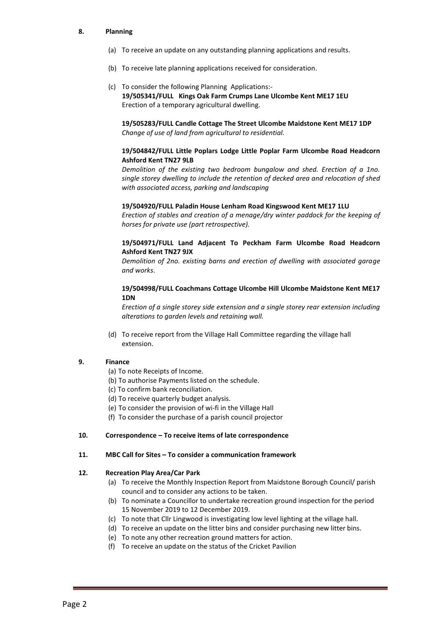#### **8. Planning**

- (a) To receive an update on any outstanding planning applications and results.
- (b) To receive late planning applications received for consideration.
- (c) To consider the following Planning Applications:-  **19/505341/FULL Kings Oak Farm Crumps Lane Ulcombe Kent ME17 1EU** Erection of a temporary agricultural dwelling.

**19/505283/FULL Candle Cottage The Street Ulcombe Maidstone Kent ME17 1DP** *Change of use of land from agricultural to residential.*

#### **19/504842/FULL Little Poplars Lodge Little Poplar Farm Ulcombe Road Headcorn Ashford Kent TN27 9LB**

*Demolition of the existing two bedroom bungalow and shed. Erection of a 1no. single storey dwelling to include the retention of decked area and relocation of shed with associated access, parking and landscaping* 

#### **19/504920/FULL Paladin House Lenham Road Kingswood Kent ME17 1LU**

*Erection of stables and creation of a menage/dry winter paddock for the keeping of horses for private use (part retrospective).* 

## **19/504971/FULL Land Adjacent To Peckham Farm Ulcombe Road Headcorn Ashford Kent TN27 9JX**

*Demolition of 2no. existing barns and erection of dwelling with associated garage and works*.

#### **19/504998/FULL Coachmans Cottage Ulcombe Hill Ulcombe Maidstone Kent ME17 1DN**

*Erection of a single storey side extension and a single storey rear extension including alterations to garden levels and retaining wall.*

(d) To receive report from the Village Hall Committee regarding the village hall extension.

#### **9. Finance**

- (a) To note Receipts of Income.
- (b) To authorise Payments listed on the schedule.
- (c) To confirm bank reconciliation.
- (d) To receive quarterly budget analysis.
- (e) To consider the provision of wi-fi in the Village Hall
- (f) To consider the purchase of a parish council projector

#### **10. Correspondence – To receive items of late correspondence**

#### **11. MBC Call for Sites – To consider a communication framework**

#### **12. Recreation Play Area/Car Park**

- (a) To receive the Monthly Inspection Report from Maidstone Borough Council/ parish council and to consider any actions to be taken.
- (b) To nominate a Councillor to undertake recreation ground inspection for the period 15 November 2019 to 12 December 2019.
- (c) To note that Cllr Lingwood is investigating low level lighting at the village hall.
- (d) To receive an update on the litter bins and consider purchasing new litter bins.
- (e) To note any other recreation ground matters for action.
- (f) To receive an update on the status of the Cricket Pavilion